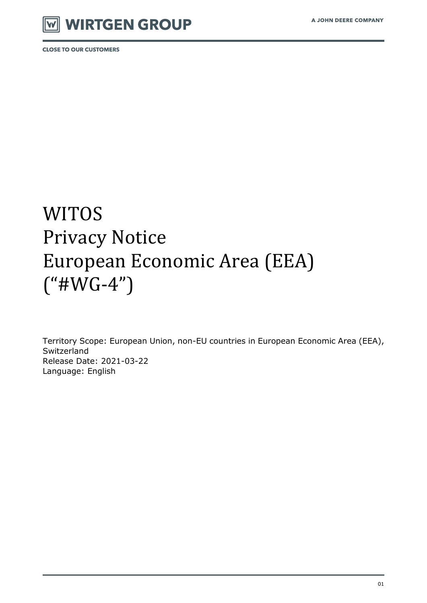

# **WITOS** Privacy Notice European Economic Area (EEA)  $("HWG-4")$

Territory Scope: European Union, non-EU countries in European Economic Area (EEA), Switzerland Release Date: 2021-03-22 Language: English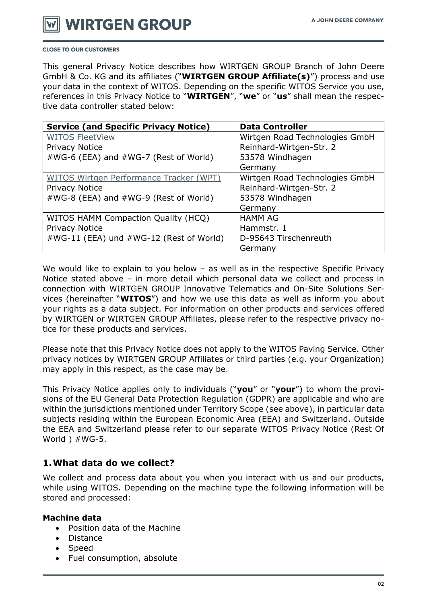

This general Privacy Notice describes how WIRTGEN GROUP Branch of John Deere GmbH & Co. KG and its affiliates ("**WIRTGEN GROUP Affiliate(s)**") process and use your data in the context of WITOS. Depending on the specific WITOS Service you use, references in this Privacy Notice to "**WIRTGEN**", "**we**" or "**us**" shall mean the respective data controller stated below:

| <b>Service (and Specific Privacy Notice)</b> | <b>Data Controller</b>         |
|----------------------------------------------|--------------------------------|
| <b>WITOS FleetView</b>                       | Wirtgen Road Technologies GmbH |
| <b>Privacy Notice</b>                        | Reinhard-Wirtgen-Str. 2        |
| #WG-6 (EEA) and #WG-7 (Rest of World)        | 53578 Windhagen                |
|                                              | Germany                        |
| WITOS Wirtgen Performance Tracker (WPT)      | Wirtgen Road Technologies GmbH |
| <b>Privacy Notice</b>                        | Reinhard-Wirtgen-Str. 2        |
| #WG-8 (EEA) and #WG-9 (Rest of World)        | 53578 Windhagen                |
|                                              | Germany                        |
| WITOS HAMM Compaction Quality (HCQ)          | <b>HAMM AG</b>                 |
| <b>Privacy Notice</b>                        | Hammstr. 1                     |
| #WG-11 (EEA) und #WG-12 (Rest of World)      | D-95643 Tirschenreuth          |
|                                              | Germany                        |

We would like to explain to you below – as well as in the respective Specific Privacy Notice stated above – in more detail which personal data we collect and process in connection with WIRTGEN GROUP Innovative Telematics and On-Site Solutions Services (hereinafter "**WITOS**") and how we use this data as well as inform you about your rights as a data subject. For information on other products and services offered by WIRTGEN or WIRTGEN GROUP Affiliates, please refer to the respective privacy notice for these products and services.

Please note that this Privacy Notice does not apply to the WITOS Paving Service. Other privacy notices by WIRTGEN GROUP Affiliates or third parties (e.g. your Organization) may apply in this respect, as the case may be.

This Privacy Notice applies only to individuals ("**you**" or "**your**") to whom the provisions of the EU General Data Protection Regulation (GDPR) are applicable and who are within the jurisdictions mentioned under Territory Scope (see above), in particular data subjects residing within the European Economic Area (EEA) and Switzerland. Outside the EEA and Switzerland please refer to our separate WITOS Privacy Notice (Rest Of World ) #WG-5.

# **1.What data do we collect?**

We collect and process data about you when you interact with us and our products, while using WITOS. Depending on the machine type the following information will be stored and processed:

## **Machine data**

- Position data of the Machine
- Distance
- Speed
- Fuel consumption, absolute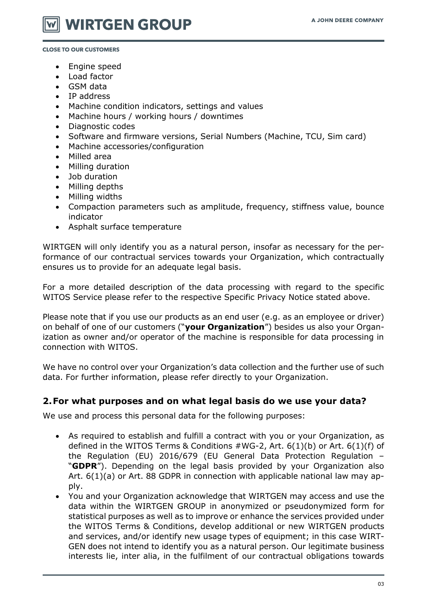**WIRTGEN GROUP** 

**CLOSE TO OUR CUSTOMERS** 

- Engine speed
- Load factor
- GSM data
- IP address
- Machine condition indicators, settings and values
- Machine hours / working hours / downtimes
- Diagnostic codes
- Software and firmware versions, Serial Numbers (Machine, TCU, Sim card)
- Machine accessories/configuration
- Milled area
- Milling duration
- Job duration
- Milling depths
- Milling widths
- Compaction parameters such as amplitude, frequency, stiffness value, bounce indicator
- Asphalt surface temperature

WIRTGEN will only identify you as a natural person, insofar as necessary for the performance of our contractual services towards your Organization, which contractually ensures us to provide for an adequate legal basis.

For a more detailed description of the data processing with regard to the specific WITOS Service please refer to the respective Specific Privacy Notice stated above.

Please note that if you use our products as an end user (e.g. as an employee or driver) on behalf of one of our customers ("**your Organization**") besides us also your Organization as owner and/or operator of the machine is responsible for data processing in connection with WITOS.

We have no control over your Organization's data collection and the further use of such data. For further information, please refer directly to your Organization.

#### **2.For what purposes and on what legal basis do we use your data?**

We use and process this personal data for the following purposes:

- As required to establish and fulfill a contract with you or your Organization, as defined in the WITOS Terms & Conditions #WG-2, Art. 6(1)(b) or Art. 6(1)(f) of the Regulation (EU) 2016/679 (EU General Data Protection Regulation – "**GDPR**"). Depending on the legal basis provided by your Organization also Art. 6(1)(a) or Art. 88 GDPR in connection with applicable national law may apply.
- You and your Organization acknowledge that WIRTGEN may access and use the data within the WIRTGEN GROUP in anonymized or pseudonymized form for statistical purposes as well as to improve or enhance the services provided under the WITOS Terms & Conditions, develop additional or new WIRTGEN products and services, and/or identify new usage types of equipment; in this case WIRT-GEN does not intend to identify you as a natural person. Our legitimate business interests lie, inter alia, in the fulfilment of our contractual obligations towards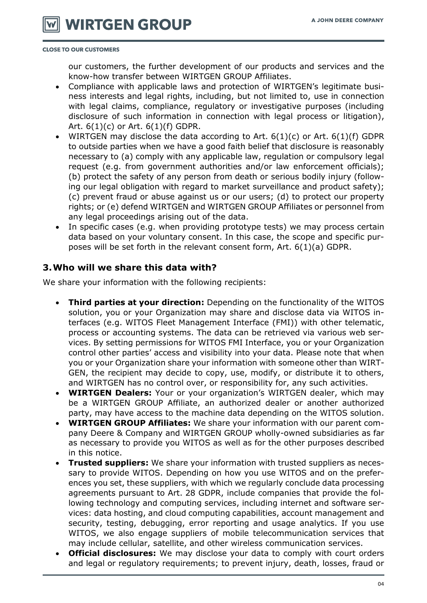**WIRTGEN GROUP** 

#### **CLOSE TO OUR CUSTOMERS**

our customers, the further development of our products and services and the know-how transfer between WIRTGEN GROUP Affiliates.

- Compliance with applicable laws and protection of WIRTGEN's legitimate business interests and legal rights, including, but not limited to, use in connection with legal claims, compliance, regulatory or investigative purposes (including disclosure of such information in connection with legal process or litigation), Art. 6(1)(c) or Art. 6(1)(f) GDPR.
- WIRTGEN may disclose the data according to Art.  $6(1)(c)$  or Art.  $6(1)(f)$  GDPR to outside parties when we have a good faith belief that disclosure is reasonably necessary to (a) comply with any applicable law, regulation or compulsory legal request (e.g. from government authorities and/or law enforcement officials); (b) protect the safety of any person from death or serious bodily injury (following our legal obligation with regard to market surveillance and product safety); (c) prevent fraud or abuse against us or our users; (d) to protect our property rights; or (e) defend WIRTGEN and WIRTGEN GROUP Affiliates or personnel from any legal proceedings arising out of the data.
- In specific cases (e.g. when providing prototype tests) we may process certain data based on your voluntary consent. In this case, the scope and specific purposes will be set forth in the relevant consent form, Art. 6(1)(a) GDPR.

## **3.Who will we share this data with?**

We share your information with the following recipients:

- **Third parties at your direction:** Depending on the functionality of the WITOS solution, you or your Organization may share and disclose data via WITOS interfaces (e.g. WITOS Fleet Management Interface (FMI)) with other telematic, process or accounting systems. The data can be retrieved via various web services. By setting permissions for WITOS FMI Interface, you or your Organization control other parties' access and visibility into your data. Please note that when you or your Organization share your information with someone other than WIRT-GEN, the recipient may decide to copy, use, modify, or distribute it to others, and WIRTGEN has no control over, or responsibility for, any such activities.
- **WIRTGEN Dealers:** Your or your organization's WIRTGEN dealer, which may be a WIRTGEN GROUP Affiliate, an authorized dealer or another authorized party, may have access to the machine data depending on the WITOS solution.
- **WIRTGEN GROUP Affiliates:** We share your information with our parent company Deere & Company and WIRTGEN GROUP wholly-owned subsidiaries as far as necessary to provide you WITOS as well as for the other purposes described in this notice.
- **Trusted suppliers:** We share your information with trusted suppliers as necessary to provide WITOS. Depending on how you use WITOS and on the preferences you set, these suppliers, with which we regularly conclude data processing agreements pursuant to Art. 28 GDPR, include companies that provide the following technology and computing services, including internet and software services: data hosting, and cloud computing capabilities, account management and security, testing, debugging, error reporting and usage analytics. If you use WITOS, we also engage suppliers of mobile telecommunication services that may include cellular, satellite, and other wireless communication services.
- **Official disclosures:** We may disclose your data to comply with court orders and legal or regulatory requirements; to prevent injury, death, losses, fraud or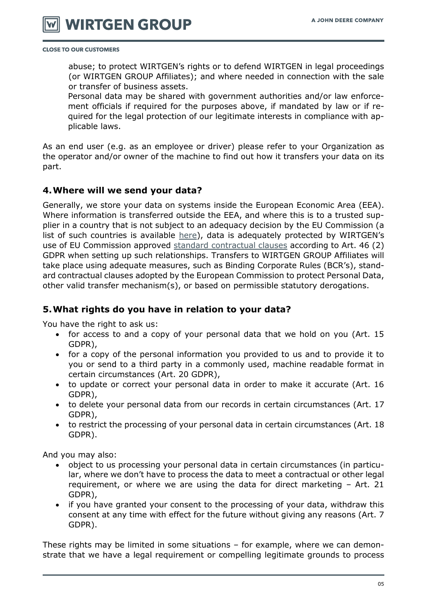**WIRTGEN GROUP** 

#### **CLOSE TO OUR CUSTOMERS**

abuse; to protect WIRTGEN's rights or to defend WIRTGEN in legal proceedings (or WIRTGEN GROUP Affiliates); and where needed in connection with the sale or transfer of business assets.

Personal data may be shared with government authorities and/or law enforcement officials if required for the purposes above, if mandated by law or if required for the legal protection of our legitimate interests in compliance with applicable laws.

As an end user (e.g. as an employee or driver) please refer to your Organization as the operator and/or owner of the machine to find out how it transfers your data on its part.

### **4.Where will we send your data?**

Generally, we store your data on systems inside the European Economic Area (EEA). Where information is transferred outside the EEA, and where this is to a trusted supplier in a country that is not subject to an adequacy decision by the EU Commission (a list of such countries is available [here\)](https://ec.europa.eu/info/law/law-topic/data-protection/data-transfers-outside-eu/adequacy-protection-personal-data-non-eu-countries), data is adequately protected by WIRTGEN's use of EU Commission approved [standard contractual clauses](https://ec.europa.eu/info/law/law-topic/data-protection/data-transfers-outside-eu/model-contracts-transfer-personal-data-third-countries) according to Art. 46 (2) GDPR when setting up such relationships. Transfers to WIRTGEN GROUP Affiliates will take place using adequate measures, such as Binding Corporate Rules (BCR's), standard contractual clauses adopted by the European Commission to protect Personal Data, other valid transfer mechanism(s), or based on permissible statutory derogations.

## **5.What rights do you have in relation to your data?**

You have the right to ask us:

- for access to and a copy of your personal data that we hold on you (Art. 15 GDPR),
- for a copy of the personal information you provided to us and to provide it to you or send to a third party in a commonly used, machine readable format in certain circumstances (Art. 20 GDPR),
- to update or correct your personal data in order to make it accurate (Art. 16 GDPR),
- to delete your personal data from our records in certain circumstances (Art. 17 GDPR),
- to restrict the processing of your personal data in certain circumstances (Art. 18 GDPR).

And you may also:

- object to us processing your personal data in certain circumstances (in particular, where we don't have to process the data to meet a contractual or other legal requirement, or where we are using the data for direct marketing – Art. 21 GDPR),
- if you have granted your consent to the processing of your data, withdraw this consent at any time with effect for the future without giving any reasons (Art. 7 GDPR).

These rights may be limited in some situations – for example, where we can demonstrate that we have a legal requirement or compelling legitimate grounds to process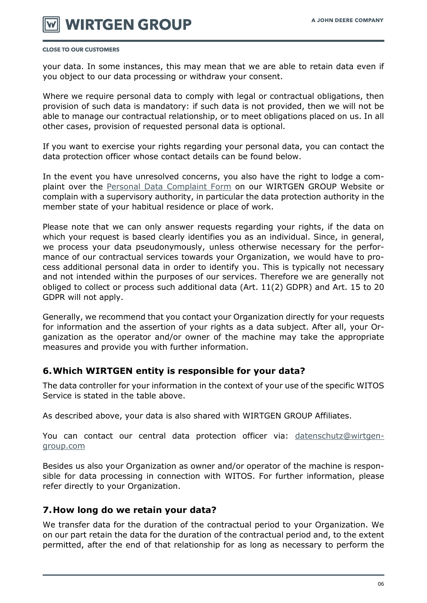

your data. In some instances, this may mean that we are able to retain data even if you object to our data processing or withdraw your consent.

Where we require personal data to comply with legal or contractual obligations, then provision of such data is mandatory: if such data is not provided, then we will not be able to manage our contractual relationship, or to meet obligations placed on us. In all other cases, provision of requested personal data is optional.

If you want to exercise your rights regarding your personal data, you can contact the data protection officer whose contact details can be found below.

In the event you have unresolved concerns, you also have the right to lodge a complaint over the [Personal Data Complaint Form](https://www.wirtgen-group.com/en-de/legal/privacy-policy/#398024) on our WIRTGEN GROUP Website or complain with a supervisory authority, in particular the data protection authority in the member state of your habitual residence or place of work.

Please note that we can only answer requests regarding your rights, if the data on which your request is based clearly identifies you as an individual. Since, in general, we process your data pseudonymously, unless otherwise necessary for the performance of our contractual services towards your Organization, we would have to process additional personal data in order to identify you. This is typically not necessary and not intended within the purposes of our services. Therefore we are generally not obliged to collect or process such additional data (Art. 11(2) GDPR) and Art. 15 to 20 GDPR will not apply.

Generally, we recommend that you contact your Organization directly for your requests for information and the assertion of your rights as a data subject. After all, your Organization as the operator and/or owner of the machine may take the appropriate measures and provide you with further information.

# **6.Which WIRTGEN entity is responsible for your data?**

The data controller for your information in the context of your use of the specific WITOS Service is stated in the table above.

As described above, your data is also shared with WIRTGEN GROUP Affiliates.

You can contact our central data protection officer via: [datenschutz@wirtgen](mailto:datenschutz@wirtgen-group.com)[group.com](mailto:datenschutz@wirtgen-group.com)

Besides us also your Organization as owner and/or operator of the machine is responsible for data processing in connection with WITOS. For further information, please refer directly to your Organization.

# **7.How long do we retain your data?**

We transfer data for the duration of the contractual period to your Organization. We on our part retain the data for the duration of the contractual period and, to the extent permitted, after the end of that relationship for as long as necessary to perform the